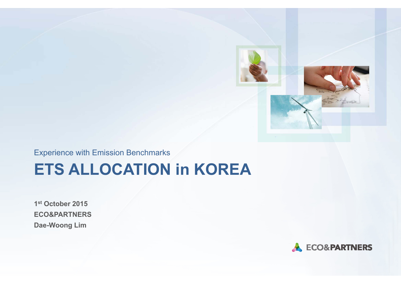

Experience with Emission Benchmarks

# **ETS ALLOCATION in KOREA**

**1st October 2015 ECO&PARTNERS Dae-Woong Lim** 

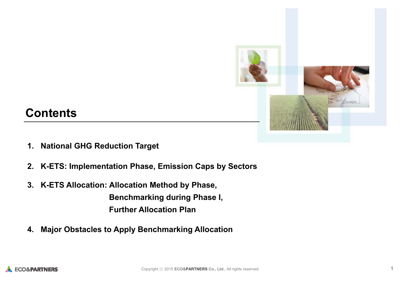

## **Contents**

- **1. National GHG Reduction Target**
- **2. K-ETS: Implementation Phase, Emission Caps by Sectors**
- **3. K-ETS Allocation: Allocation Method by Phase,**

**Benchmarking during Phase I, Further Allocation Plan**

**4. Major Obstacles to Apply Benchmarking Allocation**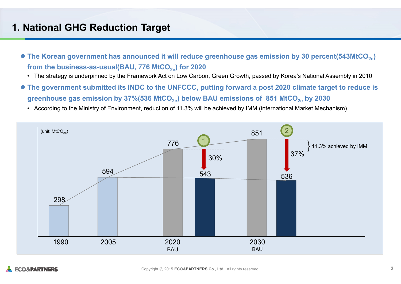### **1. National GHG Reduction Target**

- The Korean government has announced it will reduce greenhouse gas emission by 30 percent(543MtCO<sub>2e</sub>) from the business-as-usual(BAU, 776 MtCO<sub>2e</sub>) for 2020
	- The strategy is underpinned by the Framework Act on Low Carbon, Green Growth, passed by Korea's National Assembly in 2010
- **The government submitted its INDC to the UNFCCC, putting forward a post 2020 climate target to reduce is**  greenhouse gas emission by 37%(536 MtCO<sub>2e</sub>) below BAU emissions of 851 MtCO<sub>2e</sub> by 2030





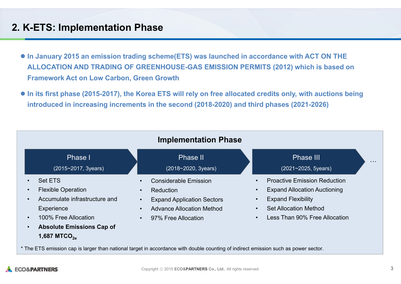### **2. K-ETS: Implementation Phase**

- **In January 2015 an emission trading scheme(ETS) was launched in accordance with ACT ON THE ALLOCATION AND TRADING OF GREENHOUSE-GAS EMISSION PERMITS (2012) which is based on Framework Act on Low Carbon, Green Growth**
- In its first phase (2015-2017), the Korea ETS will rely on free allocated credits only, with auctions being **introduced in increasing increments in the second (2018-2020) and third phases (2021-2026)**



\* The ETS emission cap is larger than national target in accordance with double counting of indirect emission such as power sector.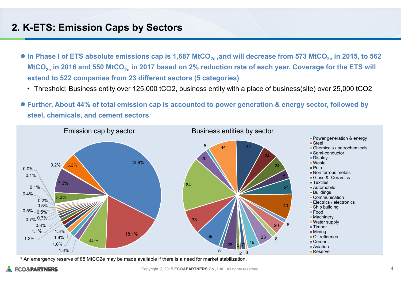#### **2. K-ETS: Emission Caps by Sectors**

- $\bullet$  In Phase I of ETS absolute emissions cap is 1,687 MtCO<sub>2e</sub> ,and will decrease from 573 MtCO<sub>2e</sub> in 2015, to 562 MtCO<sub>2e</sub> in 2016 and 550 MtCO<sub>2e</sub> in 2017 based on 2% reduction rate of each year. Coverage for the ETS will **extend to 522 companies from 23 different sectors (5 categories)**
	- Threshold: Business entity over 125,000 tCO2, business entity with a place of business(site) over 25,000 tCO2
- **Further, About 44% of total emission cap is accounted to power generation & energy sector, followed by steel, chemicals, and cement sectors**



\* An emergency reserve of 88 MtCO2e may be made available if there is a need for market stabilization.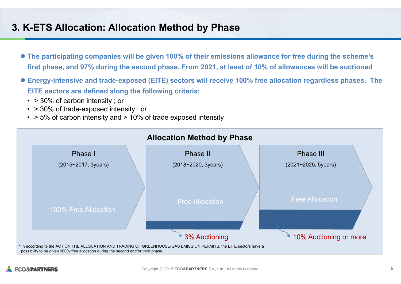### **3. K-ETS Allocation: Allocation Method by Phase**

- **The participating companies will be given 100% of their emissions allowance for free during the scheme's first phase, and 97% during the second phase. From 2021, at least of 10% of allowances will be auctioned**
- **Energy-intensive and trade-exposed (EITE) sectors will receive 100% free allocation regardless phases. The EITE sectors are defined along the following criteria:**
	- > 30% of carbon intensity ; or
	- > 30% of trade-exposed intensity ; or
	- > 5% of carbon intensity and > 10% of trade exposed intensity

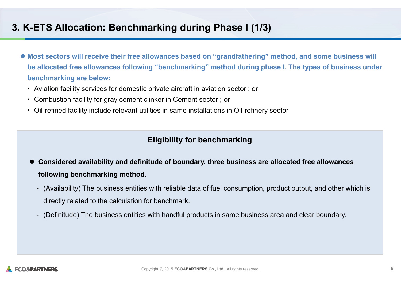### **3. K-ETS Allocation: Benchmarking during Phase I (1/3)**

- Most sectors will receive their free allowances based on "grandfathering" method, and some business will **be allocated free allowances following "benchmarking" method during phase I. The types of business under benchmarking are below:** 
	- Aviation facility services for domestic private aircraft in aviation sector ; or
	- Combustion facility for gray cement clinker in Cement sector ; or
	- Oil-refined facility include relevant utilities in same installations in Oil-refinery sector

#### **Eligibility for benchmarking**

- **Considered availability and definitude of boundary, three business are allocated free allowances following benchmarking method.** 
	- (Availability) The business entities with reliable data of fuel consumption, product output, and other which is directly related to the calculation for benchmark.
	- (Definitude) The business entities with handful products in same business area and clear boundary.

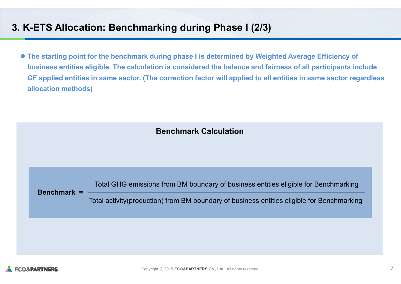### **3. K-ETS Allocation: Benchmarking during Phase I (2/3)**

 **The starting point for the benchmark during phase I is determined by Weighted Average Efficiency of business entities eligible. The calculation is considered the balance and fairness of all participants include GF applied entities in same sector. (The correction factor will applied to all entities in same sector regardless allocation methods)**

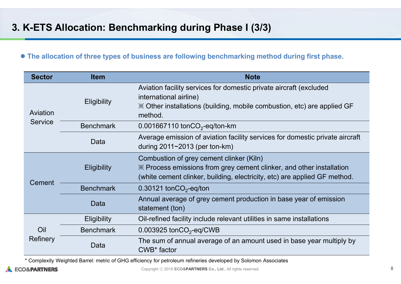#### **The allocation of three types of business are following benchmarking method during first phase.**

| <b>Sector</b>              | <b>Item</b>        | <b>Note</b>                                                                                                                                                                                   |
|----------------------------|--------------------|-----------------------------------------------------------------------------------------------------------------------------------------------------------------------------------------------|
| Aviation<br><b>Service</b> | <b>Eligibility</b> | Aviation facility services for domestic private aircraft (excluded<br>international airline)<br>$\mathbb{X}$ Other installations (building, mobile combustion, etc) are applied GF<br>method. |
|                            | <b>Benchmark</b>   | 0.001667110 ton $CO2$ -eq/ton-km                                                                                                                                                              |
|                            | Data               | Average emission of aviation facility services for domestic private aircraft<br>during $2011 \sim 2013$ (per ton-km)                                                                          |
| Cement                     | <b>Eligibility</b> | Combustion of grey cement clinker (Kiln)<br>X Process emissions from grey cement clinker, and other installation<br>(white cement clinker, building, electricity, etc) are applied GF method. |
|                            | <b>Benchmark</b>   | $0.30121$ tonCO <sub>2</sub> -eq/ton                                                                                                                                                          |
|                            | Data               | Annual average of grey cement production in base year of emission<br>statement (ton)                                                                                                          |
| Oil<br>Refinery            | <b>Eligibility</b> | Oil-refined facility include relevant utilities in same installations                                                                                                                         |
|                            | <b>Benchmark</b>   | 0.003925 ton $CO2$ -eq/CWB                                                                                                                                                                    |
|                            | Data               | The sum of annual average of an amount used in base year multiply by<br>CWB <sup>*</sup> factor                                                                                               |

\* Complexity Weighted Barrel: metric of GHG efficiency for petroleum refineries developed by Solomon Associates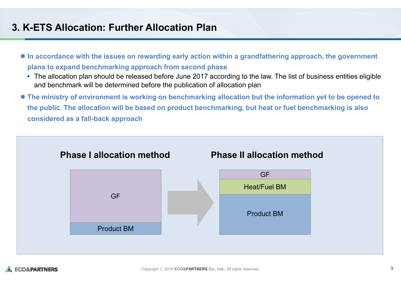### **3. K-ETS Allocation: Further Allocation Plan**

- **In accordance with the issues on rewarding early action within a grandfathering approach, the government plans to expand benchmarking approach from second phase**
	- The allocation plan should be released before June 2017 according to the law. The list of business entities eligible and benchmark will be determined before the publication of allocation plan
- **The ministry of environment is working on benchmarking allocation but the information yet to be opened to the public. The allocation will be based on product benchmarking, but heat or fuel benchmarking is also considered as a fall-back approach**

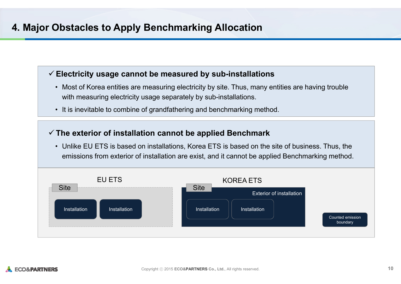### **4. Major Obstacles to Apply Benchmarking Allocation**

#### **Electricity usage cannot be measured by sub-installations**

- Most of Korea entities are measuring electricity by site. Thus, many entities are having trouble with measuring electricity usage separately by sub-installations.
- It is inevitable to combine of grandfathering and benchmarking method.

#### **The exterior of installation cannot be applied Benchmark**

• Unlike EU ETS is based on installations, Korea ETS is based on the site of business. Thus, the emissions from exterior of installation are exist, and it cannot be applied Benchmarking method.